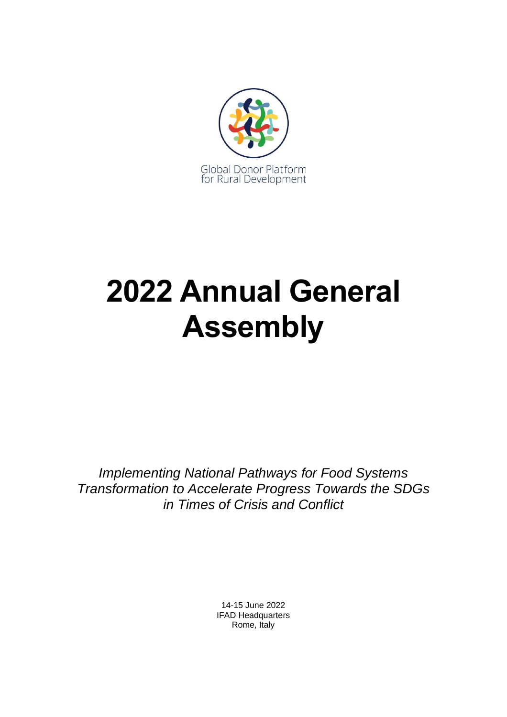

# **2022 Annual General Assembly**

*Implementing National Pathways for Food Systems Transformation to Accelerate Progress Towards the SDGs in Times of Crisis and Conflict*

> 14-15 June 2022 IFAD Headquarters Rome, Italy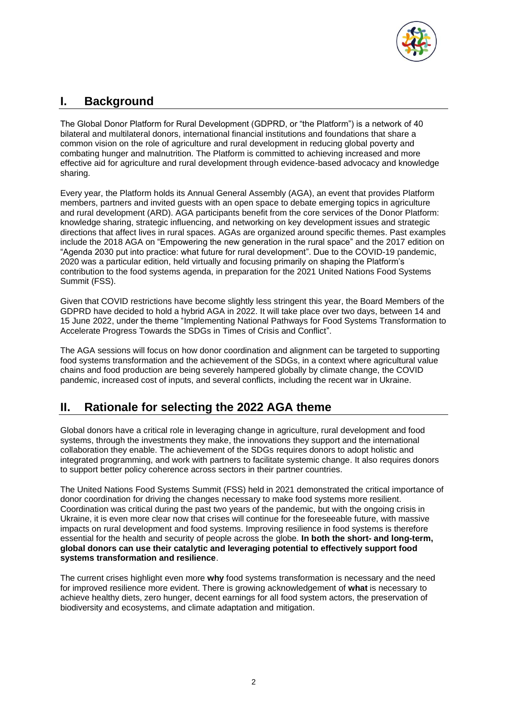

## **I. Background**

The Global Donor Platform for Rural Development (GDPRD, or "the Platform") is a network of 40 bilateral and multilateral donors, international financial institutions and foundations that share a common vision on the role of agriculture and rural development in reducing global poverty and combating hunger and malnutrition. The Platform is committed to achieving increased and more effective aid for agriculture and rural development through evidence-based advocacy and knowledge sharing.

Every year, the Platform holds its Annual General Assembly (AGA), an event that provides Platform members, partners and invited guests with an open space to debate emerging topics in agriculture and rural development (ARD). AGA participants benefit from the core services of the Donor Platform: knowledge sharing, strategic influencing, and networking on key development issues and strategic directions that affect lives in rural spaces. AGAs are organized around specific themes. Past examples include the 2018 AGA on "Empowering the new generation in the rural space" and the 2017 edition on "Agenda 2030 put into practice: what future for rural development". Due to the COVID-19 pandemic, 2020 was a particular edition, held virtually and focusing primarily on shaping the Platform's contribution to the food systems agenda, in preparation for the 2021 United Nations Food Systems Summit (FSS).

Given that COVID restrictions have become slightly less stringent this year, the Board Members of the GDPRD have decided to hold a hybrid AGA in 2022. It will take place over two days, between 14 and 15 June 2022, under the theme "Implementing National Pathways for Food Systems Transformation to Accelerate Progress Towards the SDGs in Times of Crisis and Conflict".

The AGA sessions will focus on how donor coordination and alignment can be targeted to supporting food systems transformation and the achievement of the SDGs, in a context where agricultural value chains and food production are being severely hampered globally by climate change, the COVID pandemic, increased cost of inputs, and several conflicts, including the recent war in Ukraine.

## **II. Rationale for selecting the 2022 AGA theme**

Global donors have a critical role in leveraging change in agriculture, rural development and food systems, through the investments they make, the innovations they support and the international collaboration they enable. The achievement of the SDGs requires donors to adopt holistic and integrated programming, and work with partners to facilitate systemic change. It also requires donors to support better policy coherence across sectors in their partner countries.

The United Nations Food Systems Summit (FSS) held in 2021 demonstrated the critical importance of donor coordination for driving the changes necessary to make food systems more resilient. Coordination was critical during the past two years of the pandemic, but with the ongoing crisis in Ukraine, it is even more clear now that crises will continue for the foreseeable future, with massive impacts on rural development and food systems. Improving resilience in food systems is therefore essential for the health and security of people across the globe. **In both the short- and long-term, global donors can use their catalytic and leveraging potential to effectively support food systems transformation and resilience**.

The current crises highlight even more **why** food systems transformation is necessary and the need for improved resilience more evident. There is growing acknowledgement of **what** is necessary to achieve healthy diets, zero hunger, decent earnings for all food system actors, the preservation of biodiversity and ecosystems, and climate adaptation and mitigation.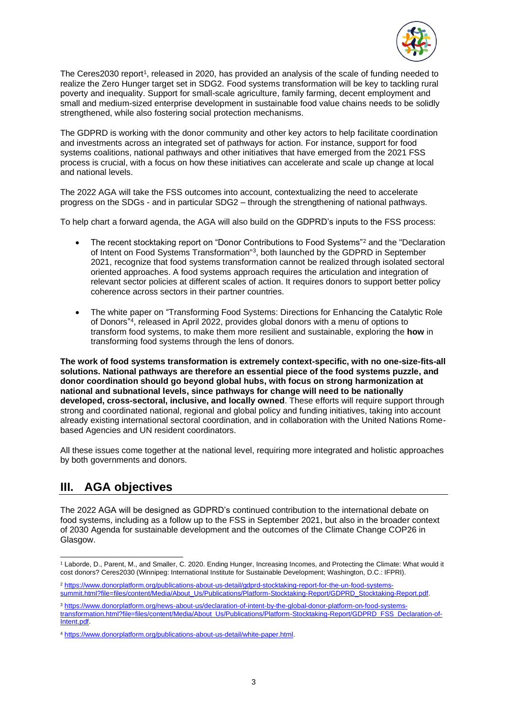

The Ceres2030 report<sup>1</sup>, released in 2020, has provided an analysis of the scale of funding needed to realize the Zero Hunger target set in SDG2. Food systems transformation will be key to tackling rural poverty and inequality. Support for small-scale agriculture, family farming, decent employment and small and medium-sized enterprise development in sustainable food value chains needs to be solidly strengthened, while also fostering social protection mechanisms.

The GDPRD is working with the donor community and other key actors to help facilitate coordination and investments across an integrated set of pathways for action. For instance, support for food systems coalitions, national pathways and other initiatives that have emerged from the 2021 FSS process is crucial, with a focus on how these initiatives can accelerate and scale up change at local and national levels.

The 2022 AGA will take the FSS outcomes into account, contextualizing the need to accelerate progress on the SDGs - and in particular SDG2 – through the strengthening of national pathways.

To help chart a forward agenda, the AGA will also build on the GDPRD's inputs to the FSS process:

- The recent stocktaking report on "Donor Contributions to Food Systems"<sup>2</sup> and the "Declaration of Intent on Food Systems Transformation"<sup>3</sup>, both launched by the GDPRD in September 2021, recognize that food systems transformation cannot be realized through isolated sectoral oriented approaches. A food systems approach requires the articulation and integration of relevant sector policies at different scales of action. It requires donors to support better policy coherence across sectors in their partner countries.
- The white paper on "Transforming Food Systems: Directions for Enhancing the Catalytic Role of Donors" 4 , released in April 2022, provides global donors with a menu of options to transform food systems, to make them more resilient and sustainable, exploring the **how** in transforming food systems through the lens of donors.

**The work of food systems transformation is extremely context-specific, with no one-size-fits-all solutions. National pathways are therefore an essential piece of the food systems puzzle, and donor coordination should go beyond global hubs, with focus on strong harmonization at national and subnational levels, since pathways for change will need to be nationally developed, cross-sectoral, inclusive, and locally owned**. These efforts will require support through strong and coordinated national, regional and global policy and funding initiatives, taking into account already existing international sectoral coordination, and in collaboration with the United Nations Romebased Agencies and UN resident coordinators.

All these issues come together at the national level, requiring more integrated and holistic approaches by both governments and donors.

## **III. AGA objectives**

The 2022 AGA will be designed as GDPRD's continued contribution to the international debate on food systems, including as a follow up to the FSS in September 2021, but also in the broader context of 2030 Agenda for sustainable development and the outcomes of the Climate Change COP26 in Glasgow.

<sup>1</sup> Laborde, D., Parent, M., and Smaller, C. 2020. Ending Hunger, Increasing Incomes, and Protecting the Climate: What would it cost donors? Ceres2030 (Winnipeg: International Institute for Sustainable Development; Washington, D.C.: IFPRI).

<sup>2</sup> [https://www.donorplatform.org/publications-about-us-detail/gdprd-stocktaking-report-for-the-un-food-systems](https://www.donorplatform.org/publications-about-us-detail/gdprd-stocktaking-report-for-the-un-food-systems-summit.html?file=files/content/Media/About_Us/Publications/Platform-Stocktaking-Report/GDPRD_Stocktaking-Report.pdf)[summit.html?file=files/content/Media/About\\_Us/Publications/Platform-Stocktaking-Report/GDPRD\\_Stocktaking-Report.pdf.](https://www.donorplatform.org/publications-about-us-detail/gdprd-stocktaking-report-for-the-un-food-systems-summit.html?file=files/content/Media/About_Us/Publications/Platform-Stocktaking-Report/GDPRD_Stocktaking-Report.pdf) 

<sup>3</sup> [https://www.donorplatform.org/news-about-us/declaration-of-intent-by-the-global-donor-platform-on-food-systems](https://www.donorplatform.org/news-about-us/declaration-of-intent-by-the-global-donor-platform-on-food-systems-transformation.html?file=files/content/Media/About_Us/Publications/Platform-Stocktaking-Report/GDPRD_FSS_Declaration-of-Intent.pdf)[transformation.html?file=files/content/Media/About\\_Us/Publications/Platform-Stocktaking-Report/GDPRD\\_FSS\\_Declaration-of-](https://www.donorplatform.org/news-about-us/declaration-of-intent-by-the-global-donor-platform-on-food-systems-transformation.html?file=files/content/Media/About_Us/Publications/Platform-Stocktaking-Report/GDPRD_FSS_Declaration-of-Intent.pdf)[Intent.pdf.](https://www.donorplatform.org/news-about-us/declaration-of-intent-by-the-global-donor-platform-on-food-systems-transformation.html?file=files/content/Media/About_Us/Publications/Platform-Stocktaking-Report/GDPRD_FSS_Declaration-of-Intent.pdf)

<sup>4</sup> [https://www.donorplatform.org/publications-about-us-detail/white-paper.html.](https://www.donorplatform.org/publications-about-us-detail/white-paper.html)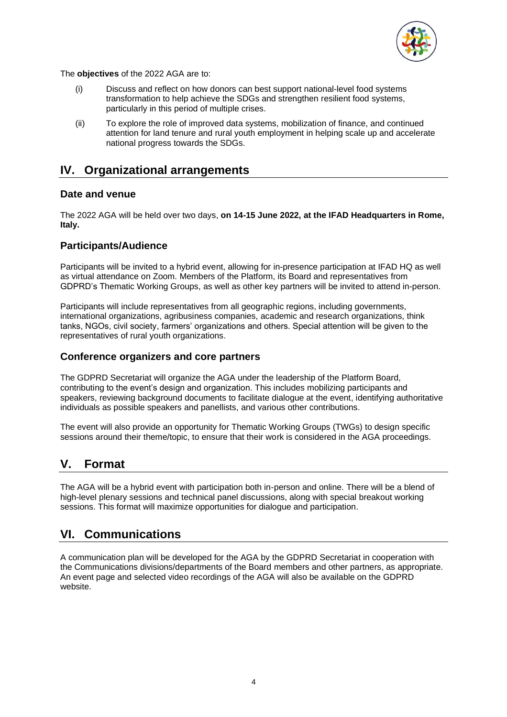

The **objectives** of the 2022 AGA are to:

- (i) Discuss and reflect on how donors can best support national-level food systems transformation to help achieve the SDGs and strengthen resilient food systems, particularly in this period of multiple crises.
- (ii) To explore the role of improved data systems, mobilization of finance, and continued attention for land tenure and rural youth employment in helping scale up and accelerate national progress towards the SDGs.

### **IV. Organizational arrangements**

#### **Date and venue**

The 2022 AGA will be held over two days, **on 14-15 June 2022, at the IFAD Headquarters in Rome, Italy.**

#### **Participants/Audience**

Participants will be invited to a hybrid event, allowing for in-presence participation at IFAD HQ as well as virtual attendance on Zoom. Members of the Platform, its Board and representatives from GDPRD's Thematic Working Groups, as well as other key partners will be invited to attend in-person.

Participants will include representatives from all geographic regions, including governments, international organizations, agribusiness companies, academic and research organizations, think tanks, NGOs, civil society, farmers' organizations and others. Special attention will be given to the representatives of rural youth organizations.

#### **Conference organizers and core partners**

The GDPRD Secretariat will organize the AGA under the leadership of the Platform Board, contributing to the event's design and organization. This includes mobilizing participants and speakers, reviewing background documents to facilitate dialogue at the event, identifying authoritative individuals as possible speakers and panellists, and various other contributions.

The event will also provide an opportunity for Thematic Working Groups (TWGs) to design specific sessions around their theme/topic, to ensure that their work is considered in the AGA proceedings.

## **V. Format**

The AGA will be a hybrid event with participation both in-person and online. There will be a blend of high-level plenary sessions and technical panel discussions, along with special breakout working sessions. This format will maximize opportunities for dialogue and participation.

## **VI. Communications**

A communication plan will be developed for the AGA by the GDPRD Secretariat in cooperation with the Communications divisions/departments of the Board members and other partners, as appropriate. An event page and selected video recordings of the AGA will also be available on the GDPRD website.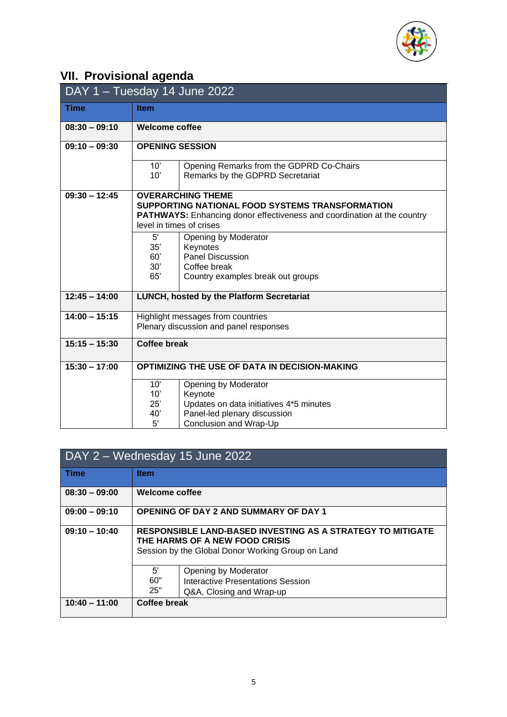

## **VII. Provisional agenda**

| DAY 1 - Tuesday 14 June 2022 |                                                                                                                                                                                           |  |
|------------------------------|-------------------------------------------------------------------------------------------------------------------------------------------------------------------------------------------|--|
| <b>Time</b>                  | <b>Item</b>                                                                                                                                                                               |  |
| $08:30 - 09:10$              | <b>Welcome coffee</b>                                                                                                                                                                     |  |
| $09:10 - 09:30$              | <b>OPENING SESSION</b>                                                                                                                                                                    |  |
|                              | 10'<br>Opening Remarks from the GDPRD Co-Chairs                                                                                                                                           |  |
|                              | 10'<br>Remarks by the GDPRD Secretariat                                                                                                                                                   |  |
| $09:30 - 12:45$              | <b>OVERARCHING THEME</b><br>SUPPORTING NATIONAL FOOD SYSTEMS TRANSFORMATION<br><b>PATHWAYS:</b> Enhancing donor effectiveness and coordination at the country<br>level in times of crises |  |
|                              | $5^{\prime}$<br>Opening by Moderator<br>35'<br>Keynotes<br><b>Panel Discussion</b><br>60'<br>30'<br>Coffee break<br>65'<br>Country examples break out groups                              |  |
| $12:45 - 14:00$              | LUNCH, hosted by the Platform Secretariat                                                                                                                                                 |  |
| $14:00 - 15:15$              | Highlight messages from countries<br>Plenary discussion and panel responses                                                                                                               |  |
| $15:15 - 15:30$              | <b>Coffee break</b>                                                                                                                                                                       |  |
| $15:30 - 17:00$              | OPTIMIZING THE USE OF DATA IN DECISION-MAKING                                                                                                                                             |  |
|                              | 10'<br>Opening by Moderator<br>10'<br>Keynote<br>25'<br>Updates on data initiatives 4*5 minutes<br>40'<br>Panel-led plenary discussion                                                    |  |
|                              | 5'<br>Conclusion and Wrap-Up                                                                                                                                                              |  |

| DAY 2 – Wednesday 15 June 2022 |                                                                                                                                                   |  |
|--------------------------------|---------------------------------------------------------------------------------------------------------------------------------------------------|--|
| <b>Time</b>                    | <b>Item</b>                                                                                                                                       |  |
| $08:30 - 09:00$                | Welcome coffee                                                                                                                                    |  |
| $09:00 - 09:10$                | <b>OPENING OF DAY 2 AND SUMMARY OF DAY 1</b>                                                                                                      |  |
| $09:10 - 10:40$                | RESPONSIBLE LAND-BASED INVESTING AS A STRATEGY TO MITIGATE<br>THE HARMS OF A NEW FOOD CRISIS<br>Session by the Global Donor Working Group on Land |  |
|                                | 5'<br>Opening by Moderator<br>60"<br>Interactive Presentations Session<br>25"<br>Q&A, Closing and Wrap-up                                         |  |
| $10:40 - 11:00$                | Coffee break                                                                                                                                      |  |